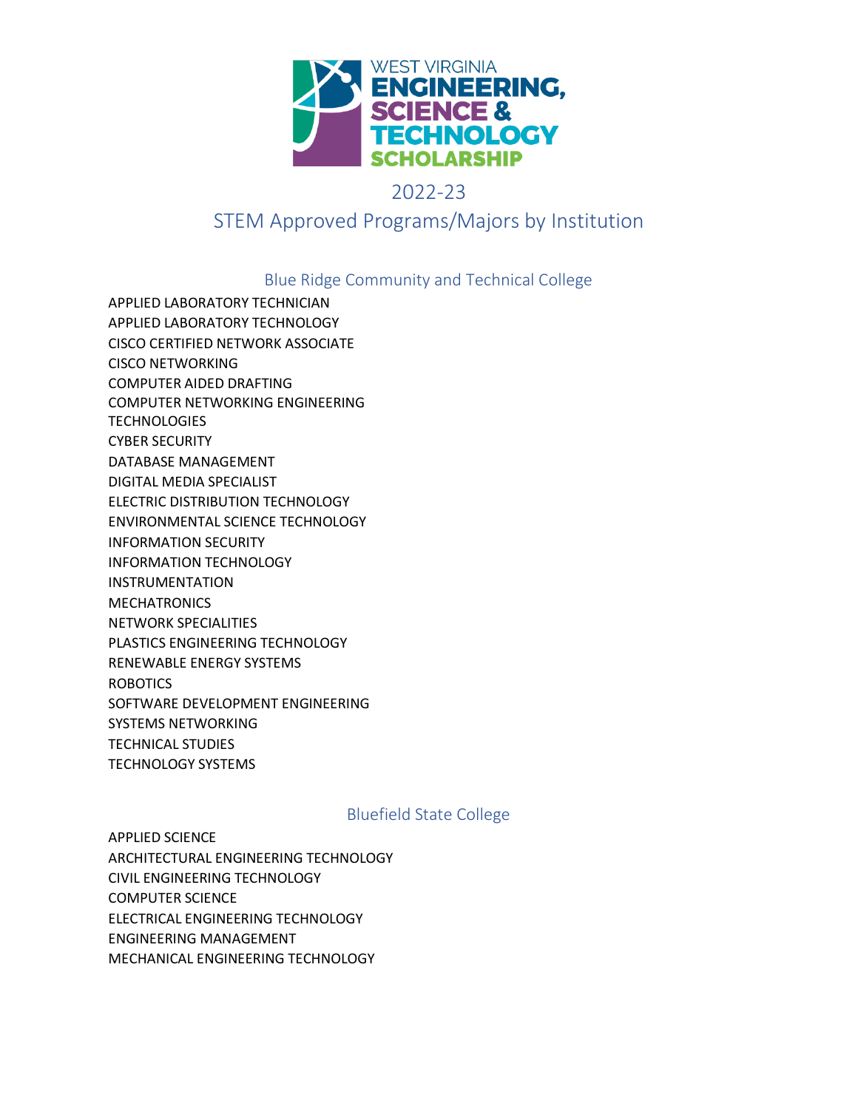

# 2022-23

# STEM Approved Programs/Majors by Institution

Blue Ridge Community and Technical College

APPLIED LABORATORY TECHNICIAN APPLIED LABORATORY TECHNOLOGY CISCO CERTIFIED NETWORK ASSOCIATE CISCO NETWORKING COMPUTER AIDED DRAFTING COMPUTER NETWORKING ENGINEERING **TECHNOLOGIES** CYBER SECURITY DATABASE MANAGEMENT DIGITAL MEDIA SPECIALIST ELECTRIC DISTRIBUTION TECHNOLOGY ENVIRONMENTAL SCIENCE TECHNOLOGY INFORMATION SECURITY INFORMATION TECHNOLOGY INSTRUMENTATION MECHATRONICS NETWORK SPECIALITIES PLASTICS ENGINEERING TECHNOLOGY RENEWABLE ENERGY SYSTEMS ROBOTICS SOFTWARE DEVELOPMENT ENGINEERING SYSTEMS NETWORKING TECHNICAL STUDIES TECHNOLOGY SYSTEMS

## Bluefield State College

APPLIED SCIENCE ARCHITECTURAL ENGINEERING TECHNOLOGY CIVIL ENGINEERING TECHNOLOGY COMPUTER SCIENCE ELECTRICAL ENGINEERING TECHNOLOGY ENGINEERING MANAGEMENT MECHANICAL ENGINEERING TECHNOLOGY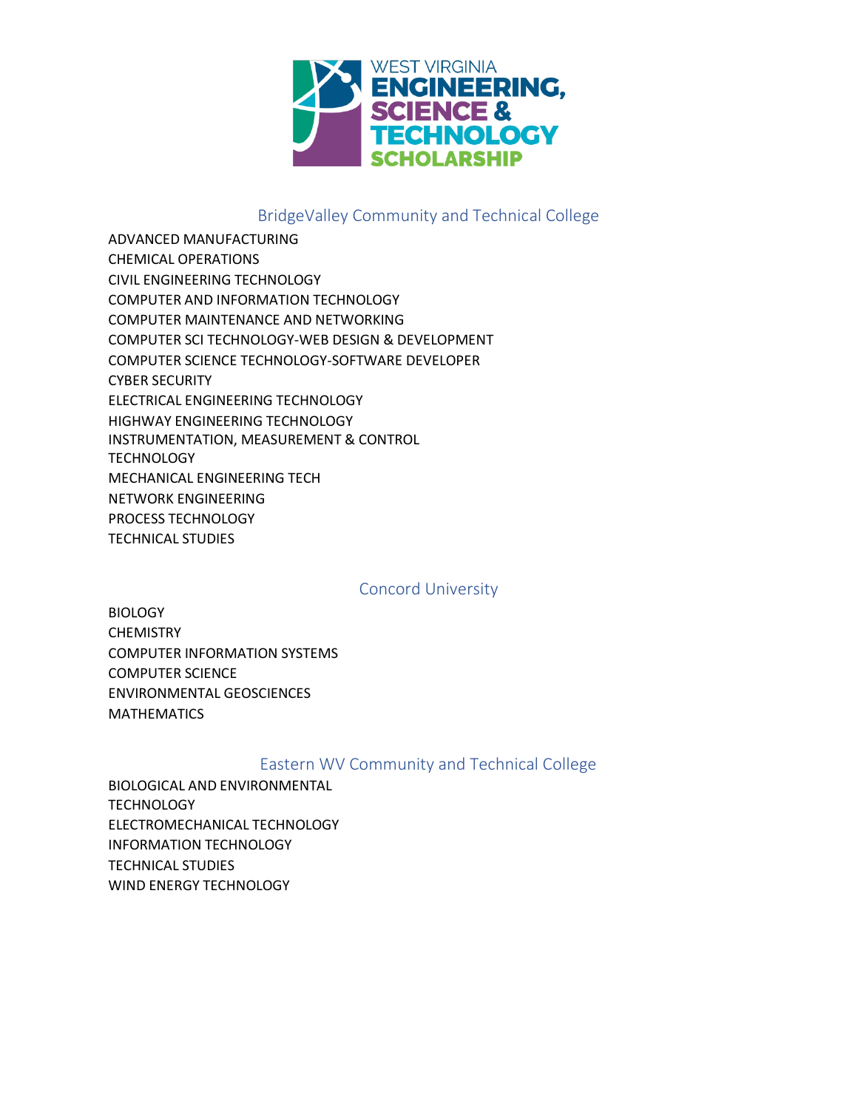

# BridgeValley Community and Technical College

ADVANCED MANUFACTURING CHEMICAL OPERATIONS CIVIL ENGINEERING TECHNOLOGY COMPUTER AND INFORMATION TECHNOLOGY COMPUTER MAINTENANCE AND NETWORKING COMPUTER SCI TECHNOLOGY-WEB DESIGN & DEVELOPMENT COMPUTER SCIENCE TECHNOLOGY-SOFTWARE DEVELOPER CYBER SECURITY ELECTRICAL ENGINEERING TECHNOLOGY HIGHWAY ENGINEERING TECHNOLOGY INSTRUMENTATION, MEASUREMENT & CONTROL **TECHNOLOGY** MECHANICAL ENGINEERING TECH NETWORK ENGINEERING PROCESS TECHNOLOGY TECHNICAL STUDIES

#### Concord University

**BIOLOGY CHEMISTRY** COMPUTER INFORMATION SYSTEMS COMPUTER SCIENCE ENVIRONMENTAL GEOSCIENCES **MATHEMATICS** 

## Eastern WV Community and Technical College

BIOLOGICAL AND ENVIRONMENTAL **TECHNOLOGY** ELECTROMECHANICAL TECHNOLOGY INFORMATION TECHNOLOGY TECHNICAL STUDIES WIND ENERGY TECHNOLOGY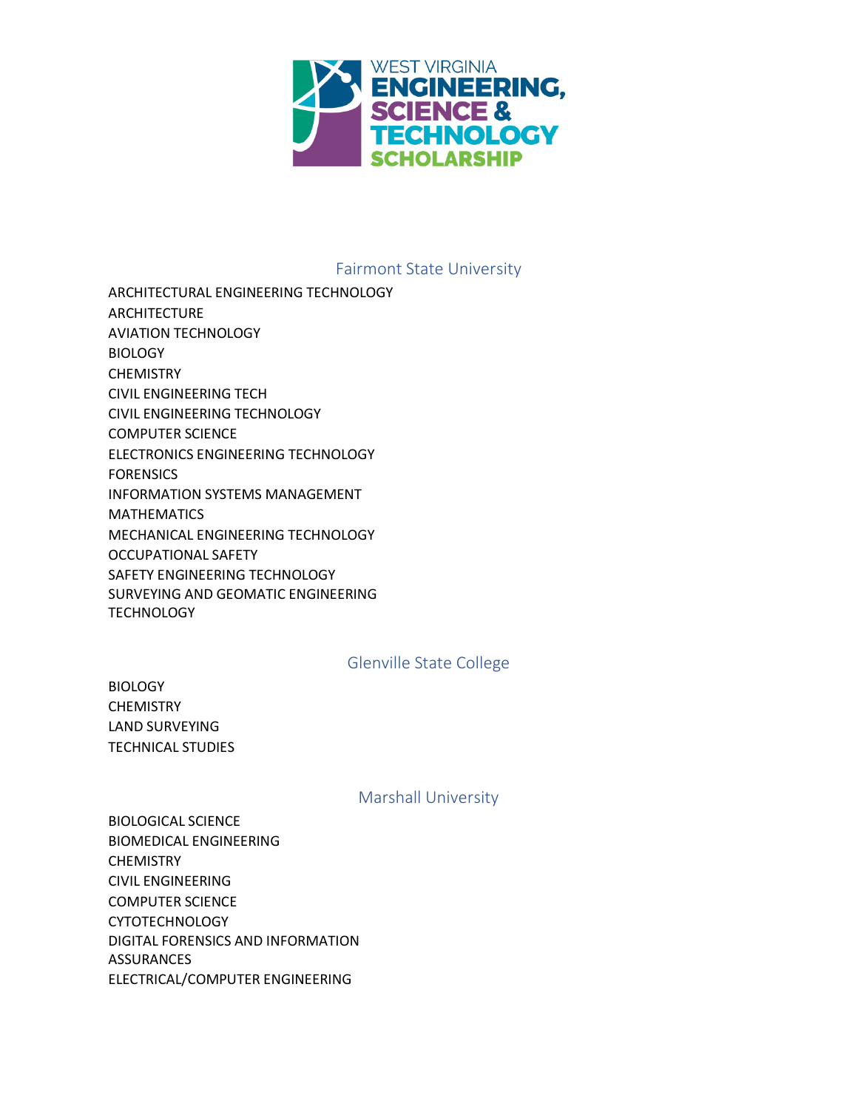

## Fairmont State University

ARCHITECTURAL ENGINEERING TECHNOLOGY **ARCHITECTURE** AVIATION TECHNOLOGY **BIOLOGY CHEMISTRY** CIVIL ENGINEERING TECH CIVIL ENGINEERING TECHNOLOGY COMPUTER SCIENCE ELECTRONICS ENGINEERING TECHNOLOGY **FORENSICS** INFORMATION SYSTEMS MANAGEMENT MATHEMATICS MECHANICAL ENGINEERING TECHNOLOGY OCCUPATIONAL SAFETY SAFETY ENGINEERING TECHNOLOGY SURVEYING AND GEOMATIC ENGINEERING **TECHNOLOGY** 

## Glenville State College

**BIOLOGY CHEMISTRY** LAND SURVEYING TECHNICAL STUDIES

#### Marshall University

BIOLOGICAL SCIENCE BIOMEDICAL ENGINEERING **CHEMISTRY** CIVIL ENGINEERING COMPUTER SCIENCE CYTOTECHNOLOGY DIGITAL FORENSICS AND INFORMATION **ASSURANCES** ELECTRICAL/COMPUTER ENGINEERING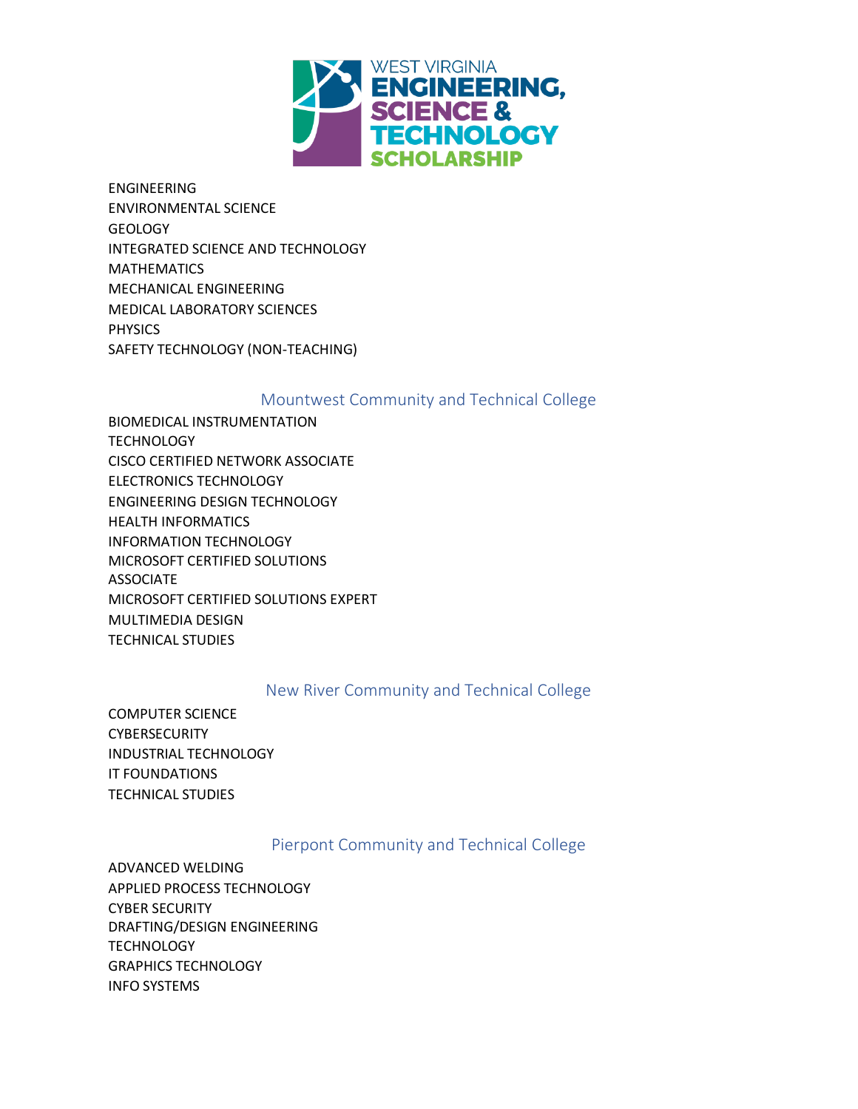

ENGINEERING ENVIRONMENTAL SCIENCE GEOLOGY INTEGRATED SCIENCE AND TECHNOLOGY MATHEMATICS MECHANICAL ENGINEERING MEDICAL LABORATORY SCIENCES **PHYSICS** SAFETY TECHNOLOGY (NON-TEACHING)

#### Mountwest Community and Technical College

BIOMEDICAL INSTRUMENTATION **TECHNOLOGY** CISCO CERTIFIED NETWORK ASSOCIATE ELECTRONICS TECHNOLOGY ENGINEERING DESIGN TECHNOLOGY HEALTH INFORMATICS INFORMATION TECHNOLOGY MICROSOFT CERTIFIED SOLUTIONS ASSOCIATE MICROSOFT CERTIFIED SOLUTIONS EXPERT MULTIMEDIA DESIGN TECHNICAL STUDIES

## New River Community and Technical College

COMPUTER SCIENCE **CYBERSECURITY** INDUSTRIAL TECHNOLOGY IT FOUNDATIONS TECHNICAL STUDIES

## Pierpont Community and Technical College

ADVANCED WELDING APPLIED PROCESS TECHNOLOGY CYBER SECURITY DRAFTING/DESIGN ENGINEERING **TECHNOLOGY** GRAPHICS TECHNOLOGY INFO SYSTEMS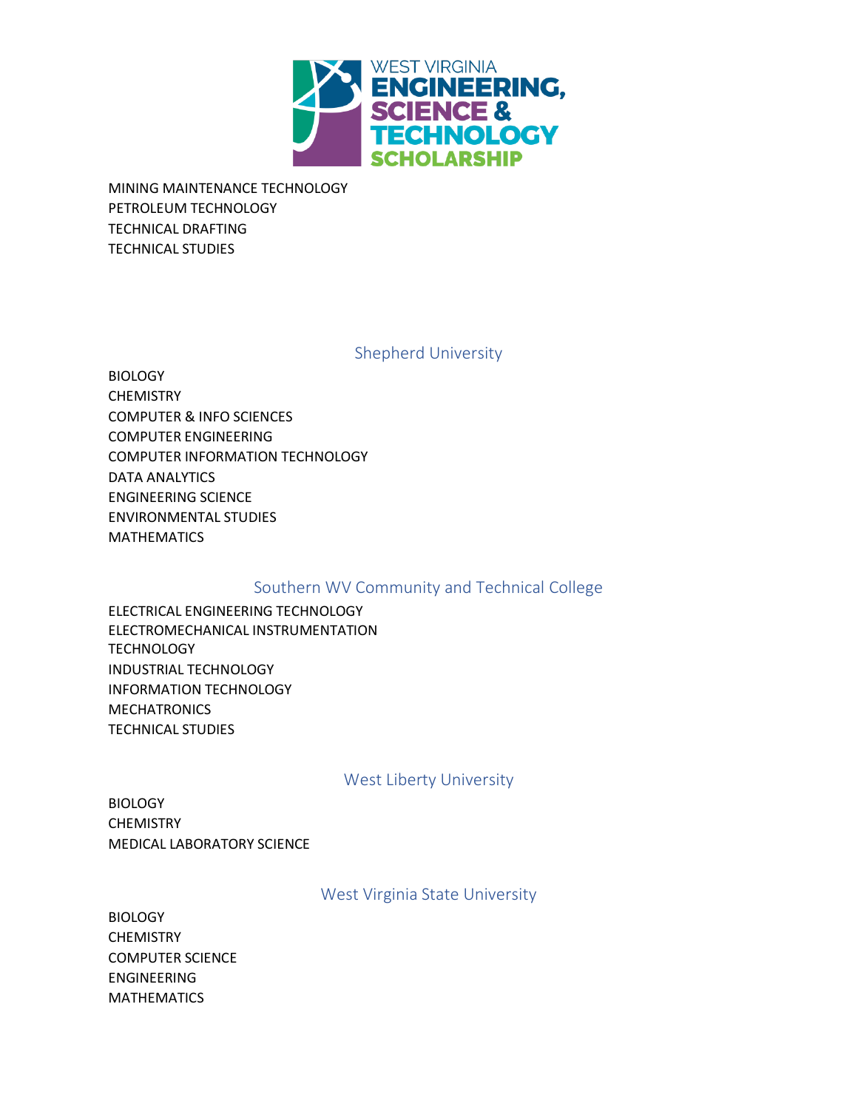

MINING MAINTENANCE TECHNOLOGY PETROLEUM TECHNOLOGY TECHNICAL DRAFTING TECHNICAL STUDIES

Shepherd University

**BIOLOGY CHEMISTRY** COMPUTER & INFO SCIENCES COMPUTER ENGINEERING COMPUTER INFORMATION TECHNOLOGY DATA ANALYTICS ENGINEERING SCIENCE ENVIRONMENTAL STUDIES MATHEMATICS

# Southern WV Community and Technical College

ELECTRICAL ENGINEERING TECHNOLOGY ELECTROMECHANICAL INSTRUMENTATION **TECHNOLOGY** INDUSTRIAL TECHNOLOGY INFORMATION TECHNOLOGY **MECHATRONICS** TECHNICAL STUDIES

West Liberty University

**BIOLOGY** CHEMISTRY MEDICAL LABORATORY SCIENCE

West Virginia State University

**BIOLOGY CHEMISTRY** COMPUTER SCIENCE ENGINEERING MATHEMATICS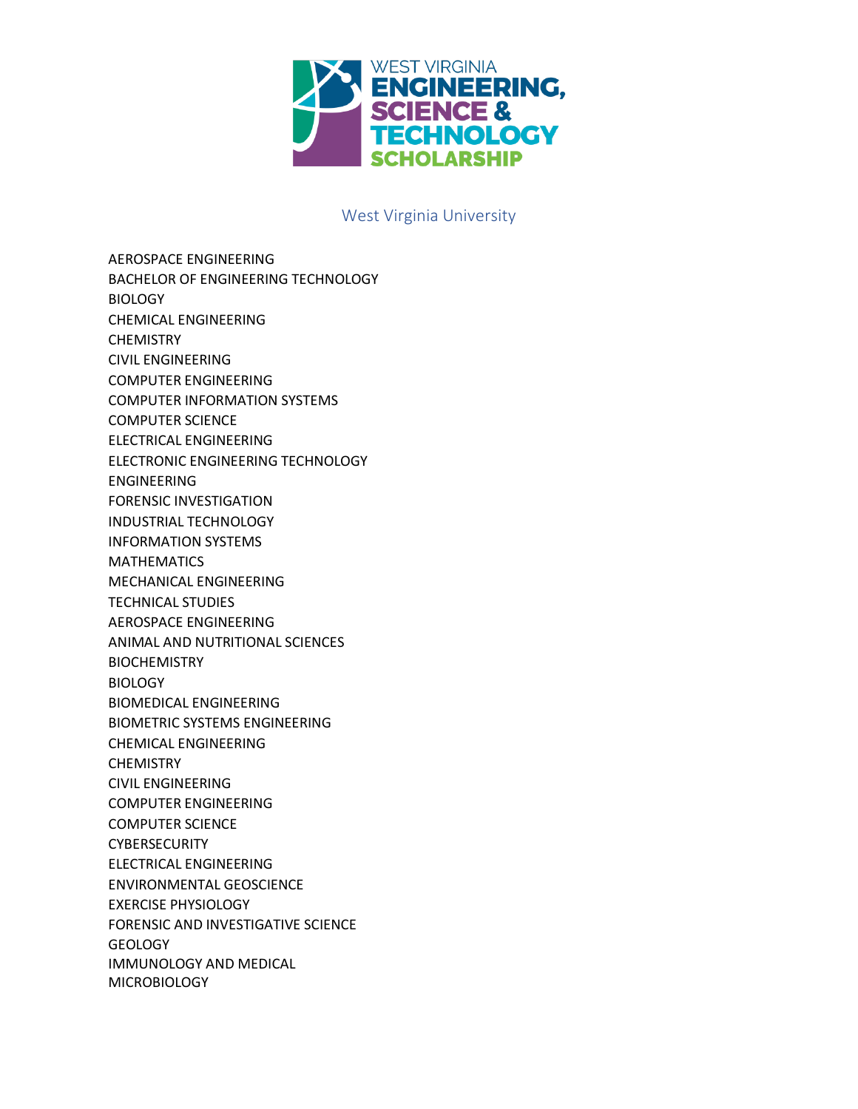

#### West Virginia University

AEROSPACE ENGINEERING BACHELOR OF ENGINEERING TECHNOLOGY **BIOLOGY** CHEMICAL ENGINEERING **CHEMISTRY** CIVIL ENGINEERING COMPUTER ENGINEERING COMPUTER INFORMATION SYSTEMS COMPUTER SCIENCE ELECTRICAL ENGINEERING ELECTRONIC ENGINEERING TECHNOLOGY ENGINEERING FORENSIC INVESTIGATION INDUSTRIAL TECHNOLOGY INFORMATION SYSTEMS MATHEMATICS MECHANICAL ENGINEERING TECHNICAL STUDIES AEROSPACE ENGINEERING ANIMAL AND NUTRITIONAL SCIENCES **BIOCHEMISTRY BIOLOGY** BIOMEDICAL ENGINEERING BIOMETRIC SYSTEMS ENGINEERING CHEMICAL ENGINEERING **CHEMISTRY** CIVIL ENGINEERING COMPUTER ENGINEERING COMPUTER SCIENCE **CYBERSECURITY** ELECTRICAL ENGINEERING ENVIRONMENTAL GEOSCIENCE EXERCISE PHYSIOLOGY FORENSIC AND INVESTIGATIVE SCIENCE **GEOLOGY** IMMUNOLOGY AND MEDICAL **MICROBIOLOGY**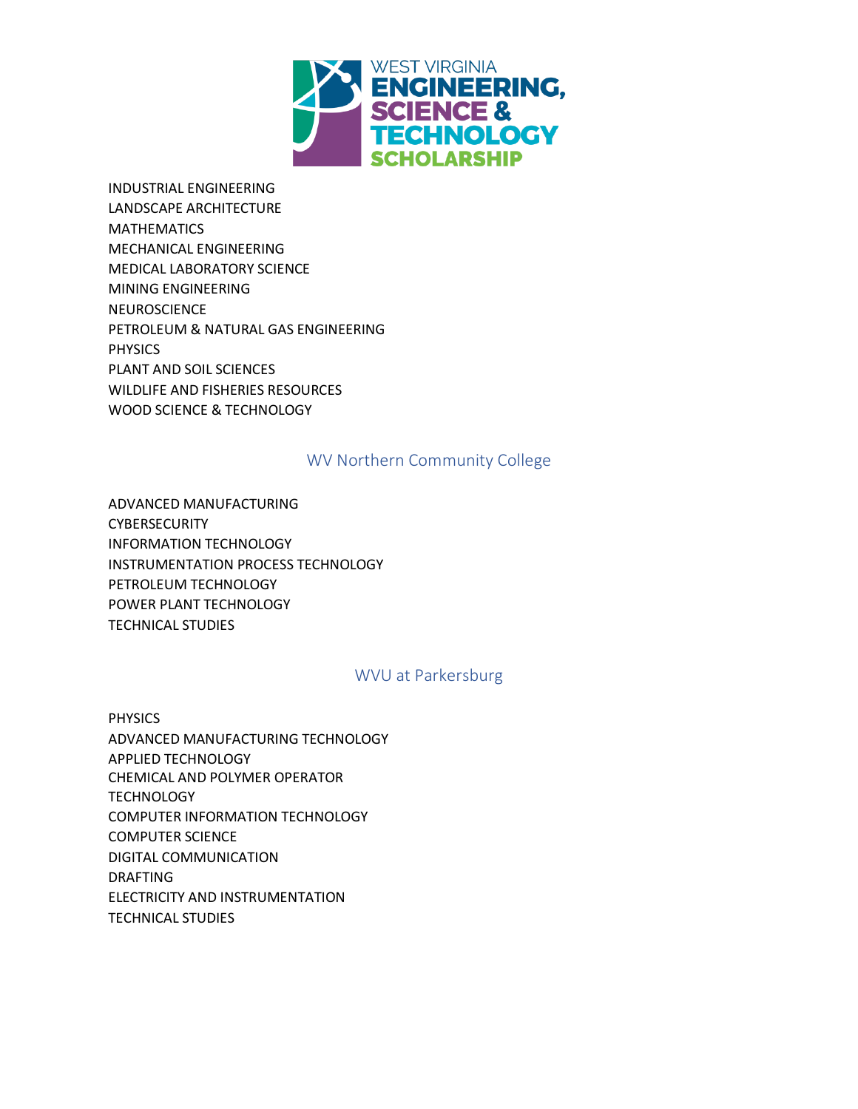

INDUSTRIAL ENGINEERING LANDSCAPE ARCHITECTURE **MATHEMATICS** MECHANICAL ENGINEERING MEDICAL LABORATORY SCIENCE MINING ENGINEERING **NEUROSCIENCE** PETROLEUM & NATURAL GAS ENGINEERING PHYSICS PLANT AND SOIL SCIENCES WILDLIFE AND FISHERIES RESOURCES WOOD SCIENCE & TECHNOLOGY

#### WV Northern Community College

ADVANCED MANUFACTURING CYBERSECURITY INFORMATION TECHNOLOGY INSTRUMENTATION PROCESS TECHNOLOGY PETROLEUM TECHNOLOGY POWER PLANT TECHNOLOGY TECHNICAL STUDIES

#### WVU at Parkersburg

PHYSICS ADVANCED MANUFACTURING TECHNOLOGY APPLIED TECHNOLOGY CHEMICAL AND POLYMER OPERATOR **TECHNOLOGY** COMPUTER INFORMATION TECHNOLOGY COMPUTER SCIENCE DIGITAL COMMUNICATION DRAFTING ELECTRICITY AND INSTRUMENTATION TECHNICAL STUDIES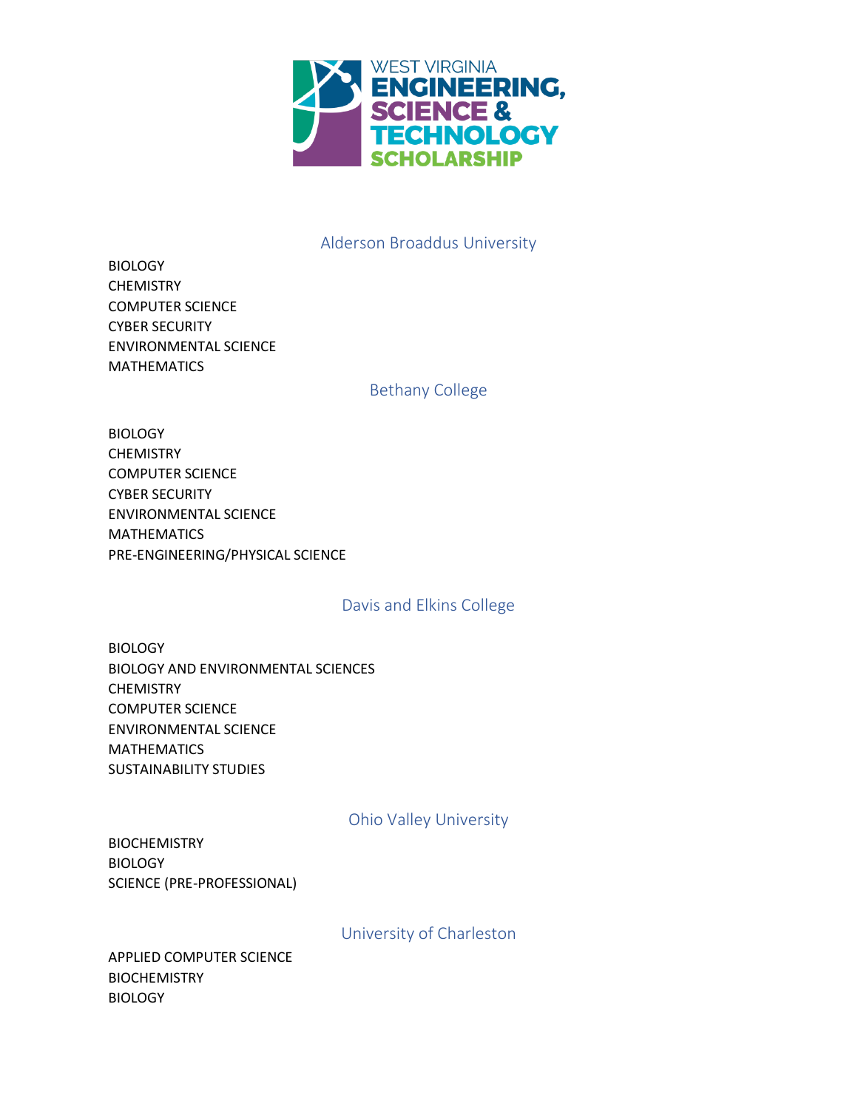

# Alderson Broaddus University

| <b>BIOLOGY</b>               |
|------------------------------|
| CHEMISTRY                    |
| COMPUTER SCIENCE             |
| <b>CYBER SECURITY</b>        |
| <b>ENVIRONMENTAL SCIENCE</b> |
| <b>MATHEMATICS</b>           |

#### Bethany College

| <b>BIOLOGY</b>                   |
|----------------------------------|
| <b>CHEMISTRY</b>                 |
| <b>COMPUTER SCIENCE</b>          |
| <b>CYBER SECURITY</b>            |
| <b>ENVIRONMENTAL SCIENCE</b>     |
| <b>MATHEMATICS</b>               |
| PRE-ENGINEERING/PHYSICAL SCIENCE |

#### Davis and Elkins College

**BIOLOGY** BIOLOGY AND ENVIRONMENTAL SCIENCES CHEMISTRY COMPUTER SCIENCE ENVIRONMENTAL SCIENCE MATHEMATICS SUSTAINABILITY STUDIES

## Ohio Valley University

BIOCHEMISTRY **BIOLOGY** SCIENCE (PRE-PROFESSIONAL)

University of Charleston

APPLIED COMPUTER SCIENCE BIOCHEMISTRY **BIOLOGY**